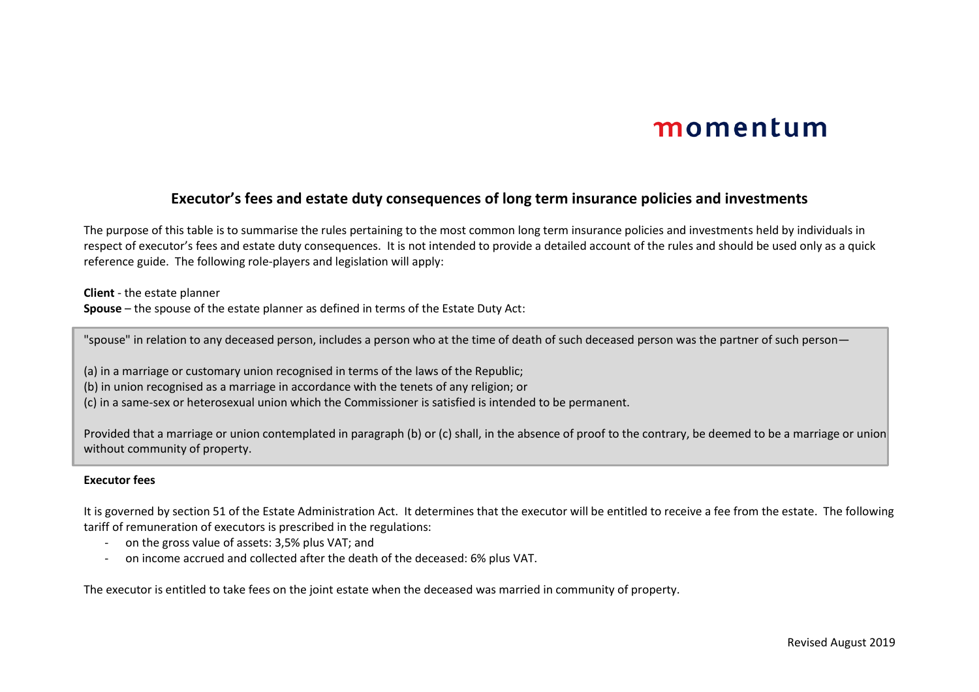### **Executor's fees and estate duty consequences of long term insurance policies and investments**

The purpose of this table is to summarise the rules pertaining to the most common long term insurance policies and investments held by individuals in respect of executor's fees and estate duty consequences. It is not intended to provide a detailed account of the rules and should be used only as a quick reference guide. The following role-players and legislation will apply:

**Client** - the estate planner **Spouse** – the spouse of the estate planner as defined in terms of the Estate Duty Act:

"spouse" in relation to any deceased person, includes a person who at the time of death of such deceased person was the partner of such person—

(a) in a marriage or customary union recognised in terms of the laws of the Republic;

(b) in union recognised as a marriage in accordance with the tenets of any religion; or

(c) in a same-sex or heterosexual union which the Commissioner is satisfied is intended to be permanent.

Provided that a marriage or union contemplated in paragraph (b) or (c) shall, in the absence of proof to the contrary, be deemed to be a marriage or union without community of property.

#### **Executor fees**

It is governed by section 51 of the Estate Administration Act. It determines that the executor will be entitled to receive a fee from the estate. The following tariff of remuneration of executors is prescribed in the regulations:

- on the gross value of assets: 3,5% plus VAT; and
- on income accrued and collected after the death of the deceased: 6% plus VAT.

The executor is entitled to take fees on the joint estate when the deceased was married in community of property.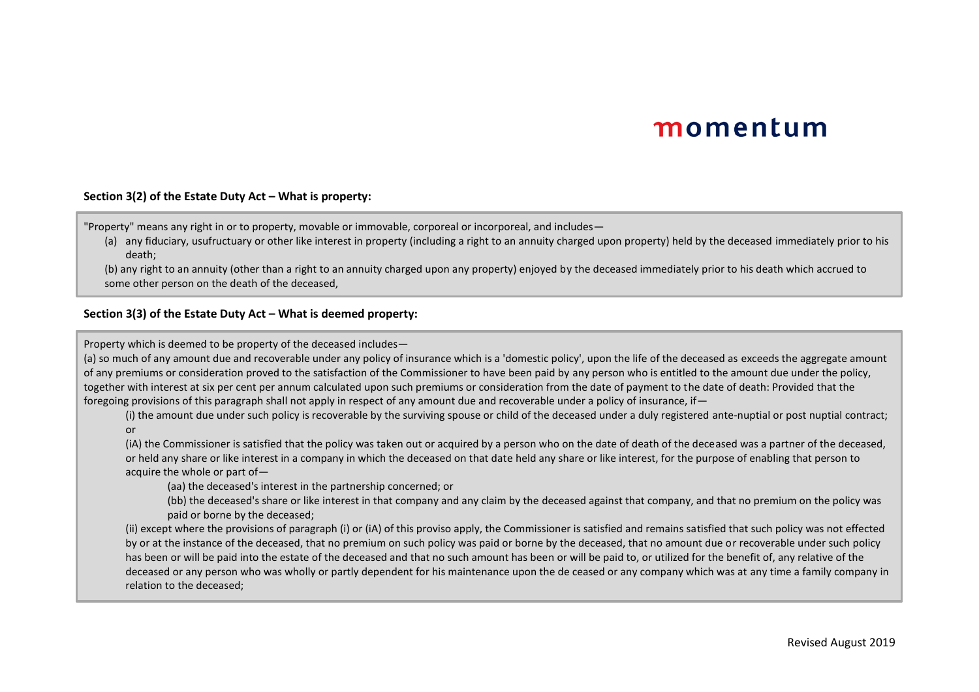#### **Section 3(2) of the Estate Duty Act – What is property:**

"Property" means any right in or to property, movable or immovable, corporeal or incorporeal, and includes—

(a) any fiduciary, usufructuary or other like interest in property (including a right to an annuity charged upon property) held by the deceased immediately prior to his death;

(b) any right to an annuity (other than a right to an annuity charged upon any property) enjoyed by the deceased immediately prior to his death which accrued to some other person on the death of the deceased,

#### **Section 3(3) of the Estate Duty Act – What is deemed property:**

Property which is deemed to be property of the deceased includes—

(a) so much of any amount due and recoverable under any policy of insurance which is a 'domestic policy', upon the life of the deceased as exceeds the aggregate amount of any premiums or consideration proved to the satisfaction of the Commissioner to have been paid by any person who is entitled to the amount due under the policy, together with interest at six per cent per annum calculated upon such premiums or consideration from the date of payment to the date of death: Provided that the foregoing provisions of this paragraph shall not apply in respect of any amount due and recoverable under a policy of insurance, if  $-$ 

(i) the amount due under such policy is recoverable by the surviving spouse or child of the deceased under a duly registered ante-nuptial or post nuptial contract; or

(iA) the Commissioner is satisfied that the policy was taken out or acquired by a person who on the date of death of the deceased was a partner of the deceased, or held any share or like interest in a company in which the deceased on that date held any share or like interest, for the purpose of enabling that person to acquire the whole or part of—

(aa) the deceased's interest in the partnership concerned; or

(bb) the deceased's share or like interest in that company and any claim by the deceased against that company, and that no premium on the policy was paid or borne by the deceased;

(ii) except where the provisions of paragraph (i) or (iA) of this proviso apply, the Commissioner is satisfied and remains satisfied that such policy was not effected by or at the instance of the deceased, that no premium on such policy was paid or borne by the deceased, that no amount due or recoverable under such policy has been or will be paid into the estate of the deceased and that no such amount has been or will be paid to, or utilized for the benefit of, any relative of the deceased or any person who was wholly or partly dependent for his maintenance upon the de ceased or any company which was at any time a family company in relation to the deceased;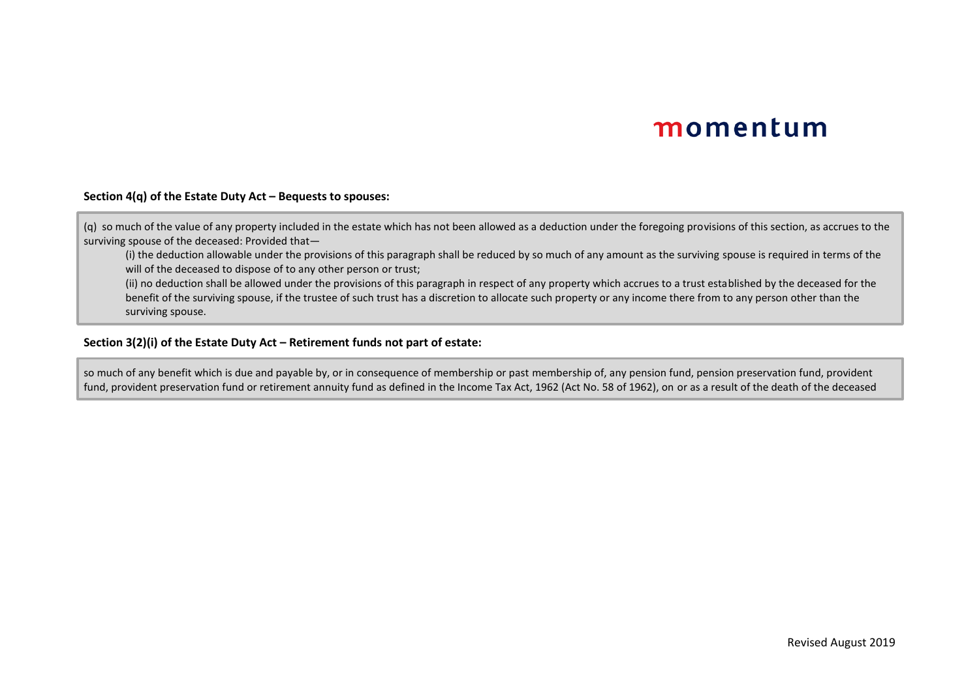#### **Section 4(q) of the Estate Duty Act – Bequests to spouses:**

(q) so much of the value of any property included in the estate which has not been allowed as a deduction under the foregoing provisions of this section, as accrues to the surviving spouse of the deceased: Provided that—

(i) the deduction allowable under the provisions of this paragraph shall be reduced by so much of any amount as the surviving spouse is required in terms of the will of the deceased to dispose of to any other person or trust:

(ii) no deduction shall be allowed under the provisions of this paragraph in respect of any property which accrues to a trust established by the deceased for the benefit of the surviving spouse, if the trustee of such trust has a discretion to allocate such property or any income there from to any person other than the surviving spouse.

#### **Section 3(2)(i) of the Estate Duty Act – Retirement funds not part of estate:**

so much of any benefit which is due and payable by, or in consequence of membership or past membership of, any pension fund, pension preservation fund, provident fund, provident preservation fund or retirement annuity fund as defined in the Income Tax Act, 1962 (Act No. 58 of 1962), on or as a result of the death of the deceased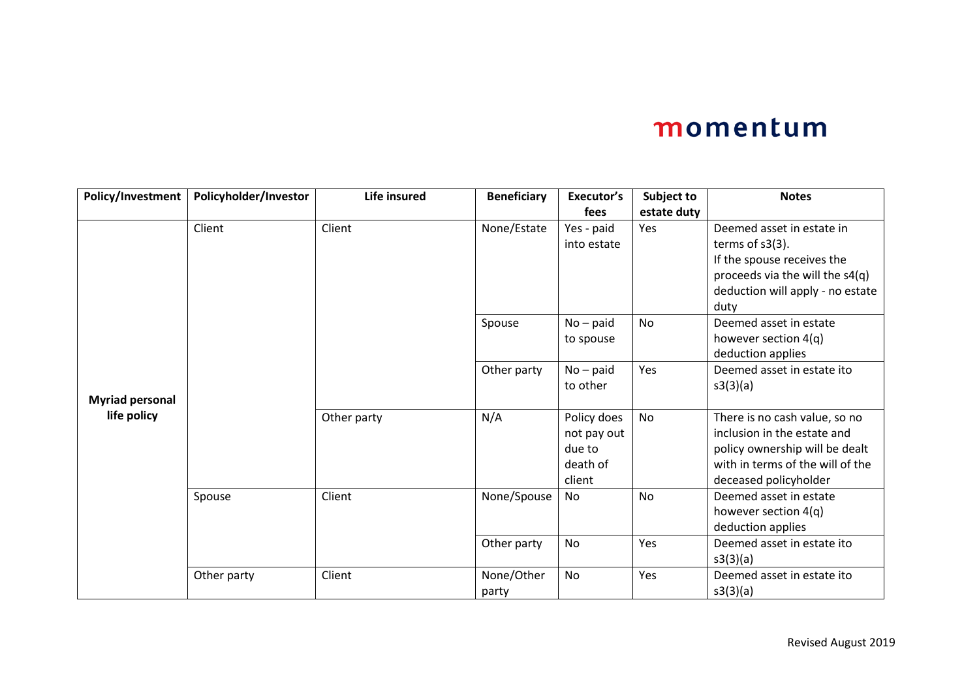| Policy/Investment      | Policyholder/Investor | Life insured | <b>Beneficiary</b> | Executor's  | Subject to  | <b>Notes</b>                     |
|------------------------|-----------------------|--------------|--------------------|-------------|-------------|----------------------------------|
|                        |                       |              |                    | fees        | estate duty |                                  |
|                        | Client                | Client       | None/Estate        | Yes - paid  | Yes         | Deemed asset in estate in        |
|                        |                       |              |                    | into estate |             | terms of $s3(3)$ .               |
|                        |                       |              |                    |             |             | If the spouse receives the       |
|                        |                       |              |                    |             |             | proceeds via the will the s4(q)  |
|                        |                       |              |                    |             |             | deduction will apply - no estate |
|                        |                       |              |                    |             |             | duty                             |
|                        |                       |              | Spouse             | $No - paid$ | <b>No</b>   | Deemed asset in estate           |
|                        |                       |              |                    | to spouse   |             | however section 4(q)             |
|                        |                       |              |                    |             |             | deduction applies                |
|                        |                       |              | Other party        | $No - paid$ | Yes         | Deemed asset in estate ito       |
|                        |                       |              |                    | to other    |             | s3(3)(a)                         |
| <b>Myriad personal</b> |                       |              |                    |             |             |                                  |
| life policy            |                       | Other party  | N/A                | Policy does | No          | There is no cash value, so no    |
|                        |                       |              |                    | not pay out |             | inclusion in the estate and      |
|                        |                       |              |                    | due to      |             | policy ownership will be dealt   |
|                        |                       |              |                    | death of    |             | with in terms of the will of the |
|                        |                       |              |                    | client      |             | deceased policyholder            |
|                        | Spouse                | Client       | None/Spouse        | No.         | <b>No</b>   | Deemed asset in estate           |
|                        |                       |              |                    |             |             | however section 4(q)             |
|                        |                       |              |                    |             |             | deduction applies                |
|                        |                       |              | Other party        | <b>No</b>   | Yes         | Deemed asset in estate ito       |
|                        |                       |              |                    |             |             | s3(3)(a)                         |
|                        | Other party           | Client       | None/Other         | <b>No</b>   | Yes         | Deemed asset in estate ito       |
|                        |                       |              | party              |             |             | s3(3)(a)                         |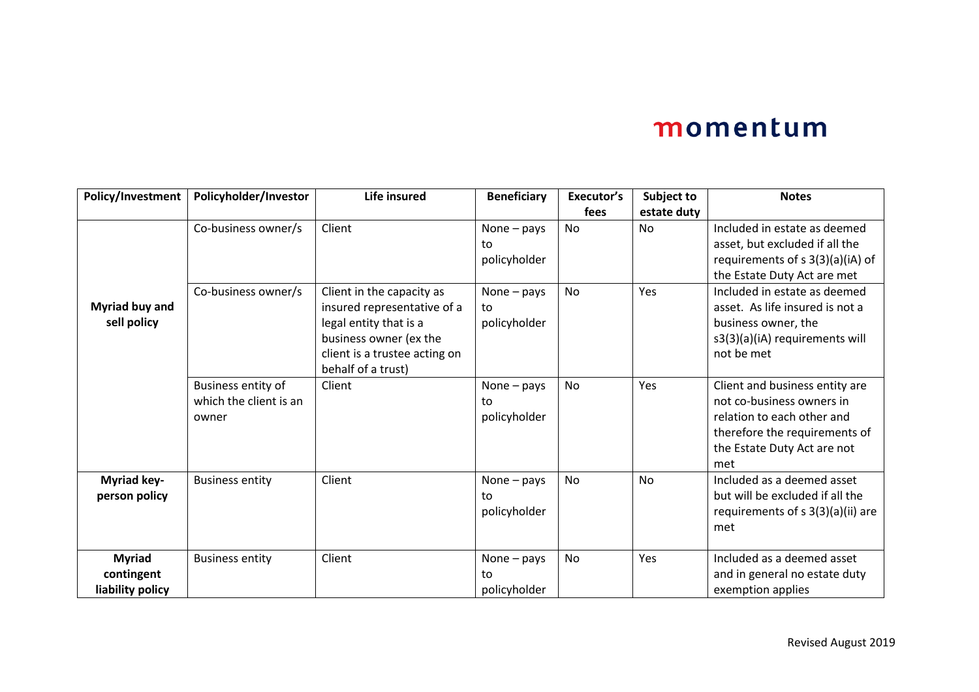| Policy/Investment                               | Policyholder/Investor                                 | Life insured                                                                                                                                                        | <b>Beneficiary</b>                  | Executor's<br>fees | Subject to<br>estate duty | <b>Notes</b>                                                                                                                                                     |
|-------------------------------------------------|-------------------------------------------------------|---------------------------------------------------------------------------------------------------------------------------------------------------------------------|-------------------------------------|--------------------|---------------------------|------------------------------------------------------------------------------------------------------------------------------------------------------------------|
|                                                 | Co-business owner/s                                   | Client                                                                                                                                                              | None - pays<br>to<br>policyholder   | <b>No</b>          | <b>No</b>                 | Included in estate as deemed<br>asset, but excluded if all the<br>requirements of $s$ 3(3)(a)(iA) of<br>the Estate Duty Act are met                              |
| Myriad buy and<br>sell policy                   | Co-business owner/s                                   | Client in the capacity as<br>insured representative of a<br>legal entity that is a<br>business owner (ex the<br>client is a trustee acting on<br>behalf of a trust) | None $-$ pays<br>to<br>policyholder | <b>No</b>          | Yes                       | Included in estate as deemed<br>asset. As life insured is not a<br>business owner, the<br>s3(3)(a)(iA) requirements will<br>not be met                           |
|                                                 | Business entity of<br>which the client is an<br>owner | Client                                                                                                                                                              | None $-$ pays<br>to<br>policyholder | <b>No</b>          | Yes                       | Client and business entity are<br>not co-business owners in<br>relation to each other and<br>therefore the requirements of<br>the Estate Duty Act are not<br>met |
| Myriad key-<br>person policy                    | <b>Business entity</b>                                | Client                                                                                                                                                              | None $-$ pays<br>to<br>policyholder | <b>No</b>          | <b>No</b>                 | Included as a deemed asset<br>but will be excluded if all the<br>requirements of $s$ 3(3)(a)(ii) are<br>met                                                      |
| <b>Myriad</b><br>contingent<br>liability policy | <b>Business entity</b>                                | Client                                                                                                                                                              | None $-$ pays<br>to<br>policyholder | <b>No</b>          | Yes                       | Included as a deemed asset<br>and in general no estate duty<br>exemption applies                                                                                 |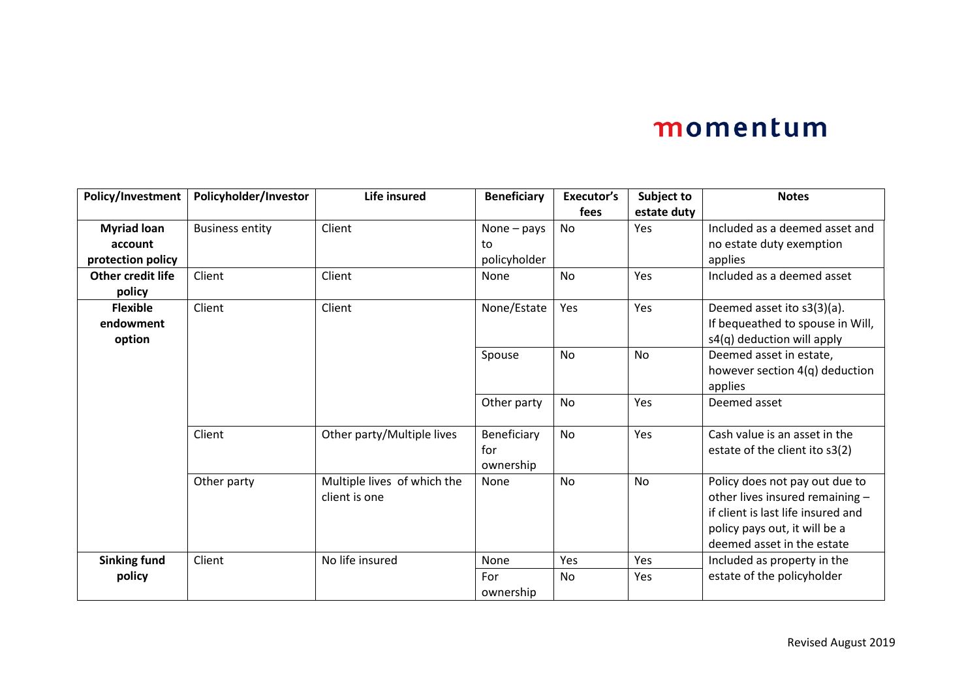| Policy/Investment        | Policyholder/Investor  | Life insured                | <b>Beneficiary</b> | Executor's | Subject to  | <b>Notes</b>                       |
|--------------------------|------------------------|-----------------------------|--------------------|------------|-------------|------------------------------------|
|                          |                        |                             |                    | fees       | estate duty |                                    |
| <b>Myriad loan</b>       | <b>Business entity</b> | Client                      | None $-$ pays      | No         | Yes         | Included as a deemed asset and     |
| account                  |                        |                             | to                 |            |             | no estate duty exemption           |
| protection policy        |                        |                             | policyholder       |            |             | applies                            |
| <b>Other credit life</b> | Client                 | Client                      | None               | <b>No</b>  | Yes         | Included as a deemed asset         |
| policy                   |                        |                             |                    |            |             |                                    |
| <b>Flexible</b>          | Client                 | Client                      | None/Estate        | Yes        | Yes         | Deemed asset ito s3(3)(a).         |
| endowment                |                        |                             |                    |            |             | If bequeathed to spouse in Will,   |
| option                   |                        |                             |                    |            |             | s4(q) deduction will apply         |
|                          |                        |                             | Spouse             | <b>No</b>  | No          | Deemed asset in estate,            |
|                          |                        |                             |                    |            |             | however section 4(q) deduction     |
|                          |                        |                             |                    |            |             | applies                            |
|                          |                        |                             | Other party        | <b>No</b>  | Yes         | Deemed asset                       |
|                          |                        |                             |                    |            |             |                                    |
|                          | Client                 | Other party/Multiple lives  | Beneficiary        | <b>No</b>  | Yes         | Cash value is an asset in the      |
|                          |                        |                             | for                |            |             | estate of the client ito s3(2)     |
|                          |                        |                             | ownership          |            |             |                                    |
|                          | Other party            | Multiple lives of which the | None               | <b>No</b>  | <b>No</b>   | Policy does not pay out due to     |
|                          |                        | client is one               |                    |            |             | other lives insured remaining -    |
|                          |                        |                             |                    |            |             | if client is last life insured and |
|                          |                        |                             |                    |            |             | policy pays out, it will be a      |
|                          |                        |                             |                    |            |             | deemed asset in the estate         |
| <b>Sinking fund</b>      | Client                 | No life insured             | None               | Yes        | Yes         | Included as property in the        |
| policy                   |                        |                             | For                | No         | Yes         | estate of the policyholder         |
|                          |                        |                             | ownership          |            |             |                                    |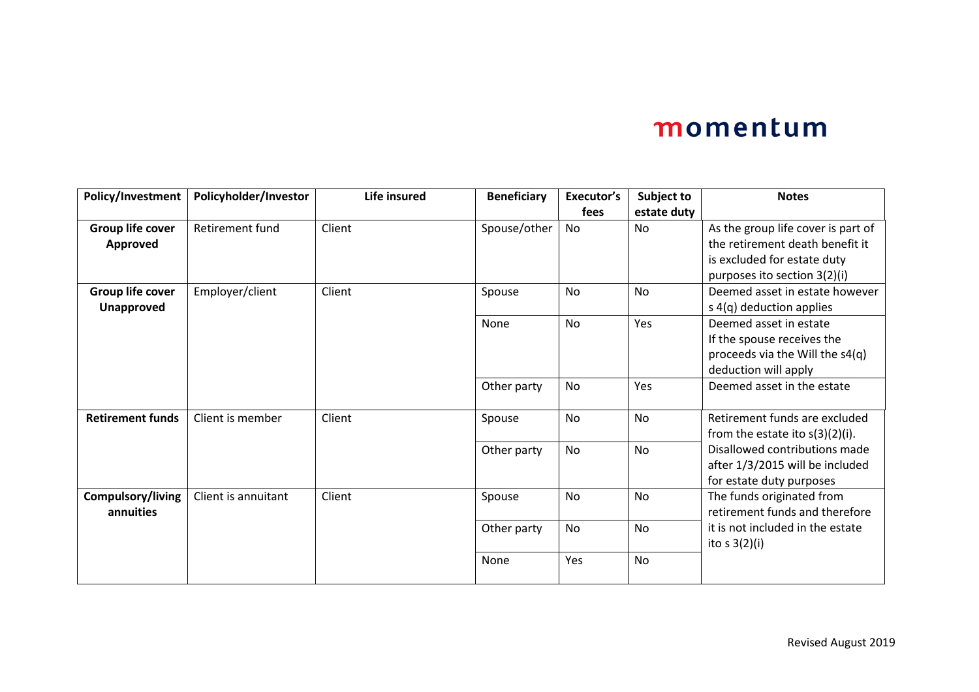| Policy/Investment       | Policyholder/Investor  | Life insured | <b>Beneficiary</b> | Executor's | Subject to  | <b>Notes</b>                       |
|-------------------------|------------------------|--------------|--------------------|------------|-------------|------------------------------------|
|                         |                        |              |                    | fees       | estate duty |                                    |
| Group life cover        | <b>Retirement fund</b> | Client       | Spouse/other       | No         | <b>No</b>   | As the group life cover is part of |
| Approved                |                        |              |                    |            |             | the retirement death benefit it    |
|                         |                        |              |                    |            |             | is excluded for estate duty        |
|                         |                        |              |                    |            |             | purposes ito section 3(2)(i)       |
| Group life cover        | Employer/client        | Client       | Spouse             | <b>No</b>  | <b>No</b>   | Deemed asset in estate however     |
| <b>Unapproved</b>       |                        |              |                    |            |             | s 4(q) deduction applies           |
|                         |                        |              | None               | No         | Yes         | Deemed asset in estate             |
|                         |                        |              |                    |            |             | If the spouse receives the         |
|                         |                        |              |                    |            |             | proceeds via the Will the s4(q)    |
|                         |                        |              |                    |            |             | deduction will apply               |
|                         |                        |              | Other party        | No         | Yes         | Deemed asset in the estate         |
|                         |                        |              |                    |            |             |                                    |
| <b>Retirement funds</b> | Client is member       | Client       | Spouse             | No         | <b>No</b>   | Retirement funds are excluded      |
|                         |                        |              |                    |            |             | from the estate ito $s(3)(2)(i)$ . |
|                         |                        |              | Other party        | No         | <b>No</b>   | Disallowed contributions made      |
|                         |                        |              |                    |            |             | after 1/3/2015 will be included    |
|                         |                        |              |                    |            |             | for estate duty purposes           |
| Compulsory/living       | Client is annuitant    | Client       | Spouse             | No         | <b>No</b>   | The funds originated from          |
| annuities               |                        |              |                    |            |             | retirement funds and therefore     |
|                         |                        |              | Other party        | No         | <b>No</b>   | it is not included in the estate   |
|                         |                        |              |                    |            |             | ito s $3(2)(i)$                    |
|                         |                        |              | None               | Yes        | No          |                                    |
|                         |                        |              |                    |            |             |                                    |